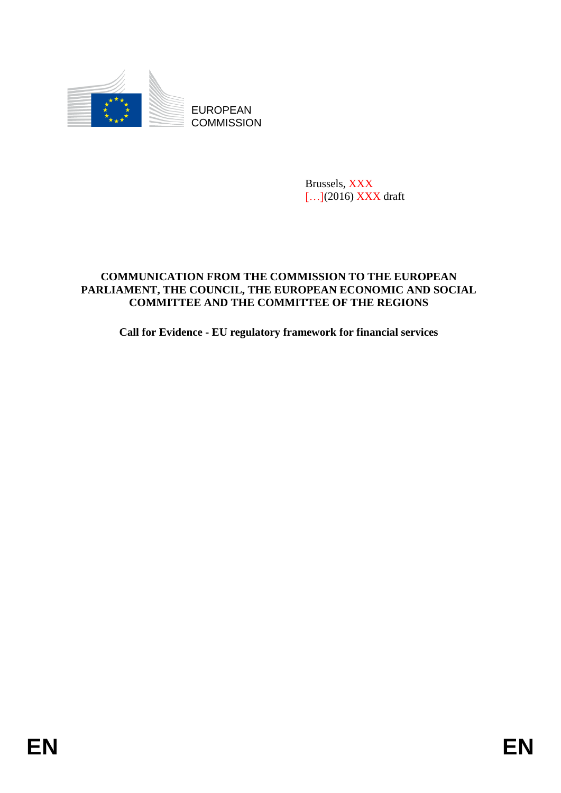

**COMMISSION** 

Brussels, XXX [...](2016) XXX draft

# EUROPEAN<br>
EUROPEAN<br>
ENGLANDSION<br>
ENGLANDSION<br>
ENGLANDSION<br>
COMMUNICATION FROM THE COMMUNISMIC TO THE RETADPEAN<br>
PARTAMENT, THE COUNCH, THE PLUGDESAN ICONOMIC AND SOCIAL.<br>
COMMUTTEE AND THE COMMUTTEE OF THE REGIONS<br>
Call fo **COMMUNICATION FROM THE COMMISSION TO THE EUROPEAN PARLIAMENT, THE COUNCIL, THE EUROPEAN ECONOMIC AND SOCIAL COMMITTEE AND THE COMMITTEE OF THE REGIONS**

**Call for Evidence - EU regulatory framework for financial services**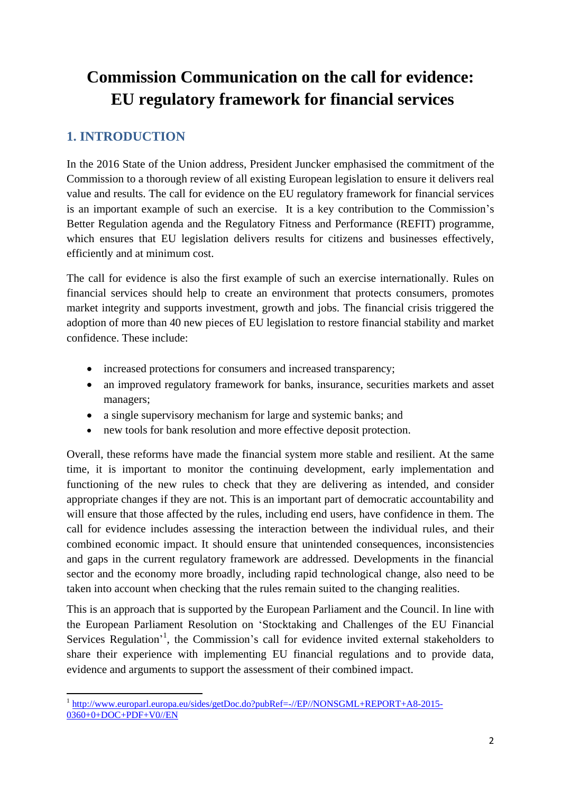# **Commission Communication on the call for evidence: EU regulatory framework for financial services**

# **1. INTRODUCTION**

In the 2016 State of the Union address, President Juncker emphasised the commitment of the Commission to a thorough review of all existing European legislation to ensure it delivers real value and results. The call for evidence on the EU regulatory framework for financial services is an important example of such an exercise. It is a key contribution to the Commission's Better Regulation agenda and the Regulatory Fitness and Performance (REFIT) programme, which ensures that EU legislation delivers results for citizens and businesses effectively, efficiently and at minimum cost.

The call for evidence is also the first example of such an exercise internationally. Rules on financial services should help to create an environment that protects consumers, promotes market integrity and supports investment, growth and jobs. The financial crisis triggered the adoption of more than 40 new pieces of EU legislation to restore financial stability and market confidence. These include:

- increased protections for consumers and increased transparency;
- an improved regulatory framework for banks, insurance, securities markets and asset managers;
- a single supervisory mechanism for large and systemic banks; and
- new tools for bank resolution and more effective deposit protection.

Overall, these reforms have made the financial system more stable and resilient. At the same time, it is important to monitor the continuing development, early implementation and functioning of the new rules to check that they are delivering as intended, and consider appropriate changes if they are not. This is an important part of democratic accountability and will ensure that those affected by the rules, including end users, have confidence in them. The call for evidence includes assessing the interaction between the individual rules, and their combined economic impact. It should ensure that unintended consequences, inconsistencies and gaps in the current regulatory framework are addressed. Developments in the financial sector and the economy more broadly, including rapid technological change, also need to be taken into account when checking that the rules remain suited to the changing realities.

This is an approach that is supported by the European Parliament and the Council. In line with the European Parliament Resolution on 'Stocktaking and Challenges of the EU Financial Services Regulation<sup>'1</sup>, the Commission's call for evidence invited external stakeholders to share their experience with implementing EU financial regulations and to provide data, evidence and arguments to support the assessment of their combined impact.

<sup>1</sup> <sup>1</sup> [http://www.europarl.europa.eu/sides/getDoc.do?pubRef=-//EP//NONSGML+REPORT+A8-2015-](http://www.europarl.europa.eu/sides/getDoc.do?pubRef=-//EP//NONSGML+REPORT+A8-2015-0360+0+DOC+PDF+V0//EN)  $0360+0+DOC+PDF+VO/EN$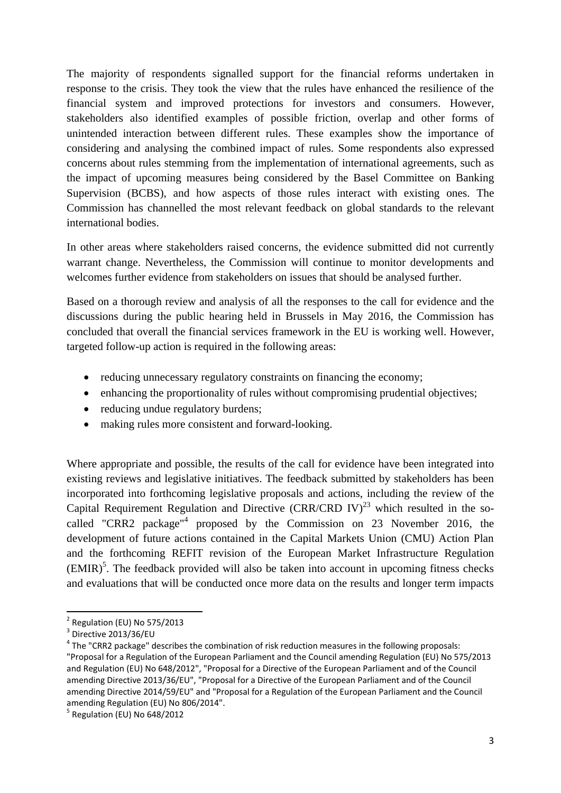The majority of respondents signalled support for the financial reforms undertaken in response to the crisis. They took the view that the rules have enhanced the resilience of the financial system and improved protections for investors and consumers. However, stakeholders also identified examples of possible friction, overlap and other forms of unintended interaction between different rules. These examples show the importance of considering and analysing the combined impact of rules. Some respondents also expressed concerns about rules stemming from the implementation of international agreements, such as the impact of upcoming measures being considered by the Basel Committee on Banking Supervision (BCBS), and how aspects of those rules interact with existing ones. The Commission has channelled the most relevant feedback on global standards to the relevant international bodies.

In other areas where stakeholders raised concerns, the evidence submitted did not currently warrant change. Nevertheless, the Commission will continue to monitor developments and welcomes further evidence from stakeholders on issues that should be analysed further.

Based on a thorough review and analysis of all the responses to the call for evidence and the discussions during the public hearing held in Brussels in May 2016, the Commission has concluded that overall the financial services framework in the EU is working well. However, targeted follow-up action is required in the following areas:

- reducing unnecessary regulatory constraints on financing the economy:
- enhancing the proportionality of rules without compromising prudential objectives;
- reducing undue regulatory burdens;
- making rules more consistent and forward-looking.

Where appropriate and possible, the results of the call for evidence have been integrated into existing reviews and legislative initiatives. The feedback submitted by stakeholders has been incorporated into forthcoming legislative proposals and actions, including the review of the Capital Requirement Regulation and Directive (CRR/CRD IV) $^{23}$  which resulted in the socalled "CRR2 package"<sup>4</sup> proposed by the Commission on 23 November 2016, the development of future actions contained in the Capital Markets Union (CMU) Action Plan and the forthcoming REFIT revision of the European Market Infrastructure Regulation  $(EMIR)^5$ . The feedback provided will also be taken into account in upcoming fitness checks and evaluations that will be conducted once more data on the results and longer term impacts

**.** 

 $2$  Regulation (EU) No 575/2013

 $3$  Directive 2013/36/EU

 $<sup>4</sup>$  The "CRR2 package" describes the combination of risk reduction measures in the following proposals:</sup> "Proposal for a Regulation of the European Parliament and the Council amending Regulation (EU) No 575/2013 and Regulation (EU) No 648/2012", "Proposal for a Directive of the European Parliament and of the Council amending Directive 2013/36/EU", "Proposal for a Directive of the European Parliament and of the Council amending Directive 2014/59/EU" and "Proposal for a Regulation of the European Parliament and the Council amending Regulation (EU) No 806/2014".

<sup>&</sup>lt;sup>5</sup> Regulation (EU) No 648/2012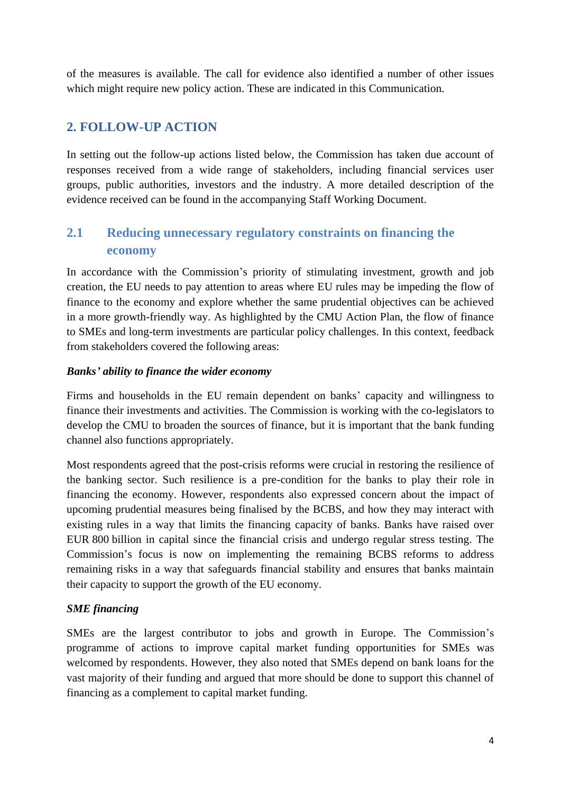of the measures is available. The call for evidence also identified a number of other issues which might require new policy action. These are indicated in this Communication.

# **2. FOLLOW-UP ACTION**

In setting out the follow-up actions listed below, the Commission has taken due account of responses received from a wide range of stakeholders, including financial services user groups, public authorities, investors and the industry. A more detailed description of the evidence received can be found in the accompanying Staff Working Document.

# **2.1 Reducing unnecessary regulatory constraints on financing the economy**

In accordance with the Commission's priority of stimulating investment, growth and job creation, the EU needs to pay attention to areas where EU rules may be impeding the flow of finance to the economy and explore whether the same prudential objectives can be achieved in a more growth-friendly way. As highlighted by the CMU Action Plan, the flow of finance to SMEs and long-term investments are particular policy challenges. In this context, feedback from stakeholders covered the following areas:

## *Banks' ability to finance the wider economy*

Firms and households in the EU remain dependent on banks' capacity and willingness to finance their investments and activities. The Commission is working with the co-legislators to develop the CMU to broaden the sources of finance, but it is important that the bank funding channel also functions appropriately.

Most respondents agreed that the post-crisis reforms were crucial in restoring the resilience of the banking sector. Such resilience is a pre-condition for the banks to play their role in financing the economy. However, respondents also expressed concern about the impact of upcoming prudential measures being finalised by the BCBS, and how they may interact with existing rules in a way that limits the financing capacity of banks. Banks have raised over EUR 800 billion in capital since the financial crisis and undergo regular stress testing. The Commission's focus is now on implementing the remaining BCBS reforms to address remaining risks in a way that safeguards financial stability and ensures that banks maintain their capacity to support the growth of the EU economy.

# *SME financing*

SMEs are the largest contributor to jobs and growth in Europe. The Commission's programme of actions to improve capital market funding opportunities for SMEs was welcomed by respondents. However, they also noted that SMEs depend on bank loans for the vast majority of their funding and argued that more should be done to support this channel of financing as a complement to capital market funding.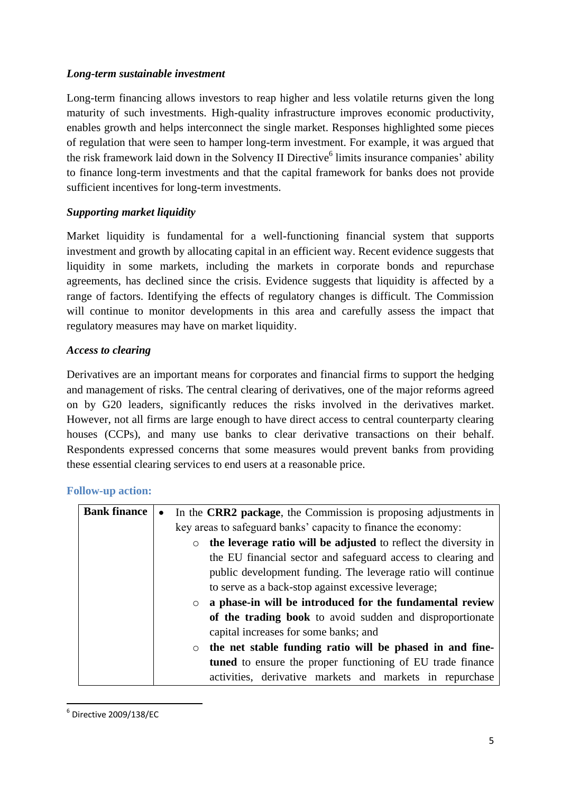### *Long-term sustainable investment*

Long-term financing allows investors to reap higher and less volatile returns given the long maturity of such investments. High-quality infrastructure improves economic productivity, enables growth and helps interconnect the single market. Responses highlighted some pieces of regulation that were seen to hamper long-term investment. For example, it was argued that the risk framework laid down in the Solvency II Directive<sup>6</sup> limits insurance companies' ability to finance long-term investments and that the capital framework for banks does not provide sufficient incentives for long-term investments.

# *Supporting market liquidity*

Market liquidity is fundamental for a well-functioning financial system that supports investment and growth by allocating capital in an efficient way. Recent evidence suggests that liquidity in some markets, including the markets in corporate bonds and repurchase agreements, has declined since the crisis. Evidence suggests that liquidity is affected by a range of factors. Identifying the effects of regulatory changes is difficult. The Commission will continue to monitor developments in this area and carefully assess the impact that regulatory measures may have on market liquidity.

## *Access to clearing*

Derivatives are an important means for corporates and financial firms to support the hedging and management of risks. The central clearing of derivatives, one of the major reforms agreed on by G20 leaders, significantly reduces the risks involved in the derivatives market. However, not all firms are large enough to have direct access to central counterparty clearing houses (CCPs), and many use banks to clear derivative transactions on their behalf. Respondents expressed concerns that some measures would prevent banks from providing these essential clearing services to end users at a reasonable price.

### **Follow-up action:**

| <b>Bank finance</b> | In the CRR2 package, the Commission is proposing adjustments in            |  |  |  |  |
|---------------------|----------------------------------------------------------------------------|--|--|--|--|
|                     | key areas to safeguard banks' capacity to finance the economy:             |  |  |  |  |
|                     | the leverage ratio will be adjusted to reflect the diversity in<br>$\circ$ |  |  |  |  |
|                     | the EU financial sector and safeguard access to clearing and               |  |  |  |  |
|                     | public development funding. The leverage ratio will continue               |  |  |  |  |
|                     | to serve as a back-stop against excessive leverage;                        |  |  |  |  |
|                     | a phase-in will be introduced for the fundamental review<br>$\circ$        |  |  |  |  |
|                     | of the trading book to avoid sudden and disproportionate                   |  |  |  |  |
|                     | capital increases for some banks; and                                      |  |  |  |  |
|                     | the net stable funding ratio will be phased in and fine-<br>$\circ$        |  |  |  |  |
|                     | tuned to ensure the proper functioning of EU trade finance                 |  |  |  |  |
|                     | activities, derivative markets and markets in repurchase                   |  |  |  |  |

**<sup>.</sup>**  $<sup>6</sup>$  Directive 2009/138/EC</sup>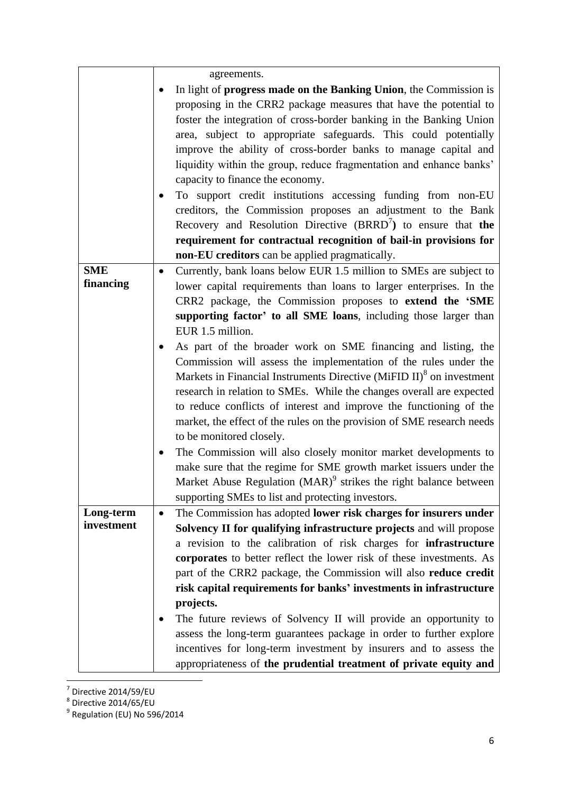|            | agreements.                                                                      |
|------------|----------------------------------------------------------------------------------|
|            | In light of <b>progress made on the Banking Union</b> , the Commission is        |
|            | proposing in the CRR2 package measures that have the potential to                |
|            | foster the integration of cross-border banking in the Banking Union              |
|            | area, subject to appropriate safeguards. This could potentially                  |
|            | improve the ability of cross-border banks to manage capital and                  |
|            | liquidity within the group, reduce fragmentation and enhance banks'              |
|            | capacity to finance the economy.                                                 |
|            | To support credit institutions accessing funding from non-EU<br>$\bullet$        |
|            | creditors, the Commission proposes an adjustment to the Bank                     |
|            | Recovery and Resolution Directive $(BRRD^7)$ to ensure that the                  |
|            | requirement for contractual recognition of bail-in provisions for                |
|            | non-EU creditors can be applied pragmatically.                                   |
| <b>SME</b> | Currently, bank loans below EUR 1.5 million to SMEs are subject to               |
| financing  | lower capital requirements than loans to larger enterprises. In the              |
|            | CRR2 package, the Commission proposes to extend the 'SME                         |
|            | supporting factor' to all SME loans, including those larger than                 |
|            | EUR 1.5 million.                                                                 |
|            | As part of the broader work on SME financing and listing, the                    |
|            | Commission will assess the implementation of the rules under the                 |
|            | Markets in Financial Instruments Directive (MiFID II) <sup>8</sup> on investment |
|            | research in relation to SMEs. While the changes overall are expected             |
|            | to reduce conflicts of interest and improve the functioning of the               |
|            | market, the effect of the rules on the provision of SME research needs           |
|            | to be monitored closely.                                                         |
|            | The Commission will also closely monitor market developments to<br>$\bullet$     |
|            | make sure that the regime for SME growth market issuers under the                |
|            | Market Abuse Regulation (MAR) <sup>9</sup> strikes the right balance between     |
|            | supporting SMEs to list and protecting investors.                                |
| Long-term  | The Commission has adopted lower risk charges for insurers under<br>$\bullet$    |
| investment | Solvency II for qualifying infrastructure projects and will propose              |
|            | a revision to the calibration of risk charges for infrastructure                 |
|            | corporates to better reflect the lower risk of these investments. As             |
|            | part of the CRR2 package, the Commission will also reduce credit                 |
|            | risk capital requirements for banks' investments in infrastructure               |
|            | projects.                                                                        |
|            | The future reviews of Solvency II will provide an opportunity to<br>$\bullet$    |
|            | assess the long-term guarantees package in order to further explore              |
|            | incentives for long-term investment by insurers and to assess the                |
|            | appropriateness of the prudential treatment of private equity and                |

<sup>–&</sup>lt;br><sup>7</sup> Directive 2014/59/EU<br><sup>8</sup> Directive 2014/65/EU<br><sup>9</sup> Regulation (EU) No 596/2014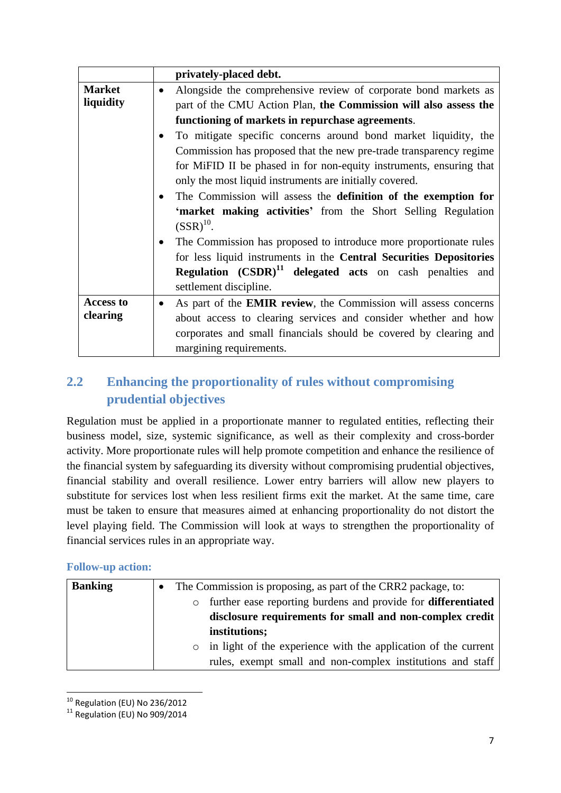|                  | privately-placed debt.                                                               |
|------------------|--------------------------------------------------------------------------------------|
| <b>Market</b>    | Alongside the comprehensive review of corporate bond markets as<br>$\bullet$         |
| liquidity        | part of the CMU Action Plan, the Commission will also assess the                     |
|                  | functioning of markets in repurchase agreements.                                     |
|                  | To mitigate specific concerns around bond market liquidity, the                      |
|                  | Commission has proposed that the new pre-trade transparency regime                   |
|                  | for MiFID II be phased in for non-equity instruments, ensuring that                  |
|                  | only the most liquid instruments are initially covered.                              |
|                  | The Commission will assess the definition of the exemption for                       |
|                  | <b>'market making activities'</b> from the Short Selling Regulation                  |
|                  | $(SSR)^{10}$ .                                                                       |
|                  | The Commission has proposed to introduce more proportionate rules                    |
|                  | for less liquid instruments in the Central Securities Depositories                   |
|                  | <b>Regulation</b> $(CSDR)^{11}$ delegated acts on cash penalties and                 |
|                  | settlement discipline.                                                               |
| <b>Access to</b> | As part of the <b>EMIR review</b> , the Commission will assess concerns<br>$\bullet$ |
| clearing         | about access to clearing services and consider whether and how                       |
|                  | corporates and small financials should be covered by clearing and                    |
|                  | margining requirements.                                                              |

# **2.2 Enhancing the proportionality of rules without compromising prudential objectives**

Regulation must be applied in a proportionate manner to regulated entities, reflecting their business model, size, systemic significance, as well as their complexity and cross-border activity. More proportionate rules will help promote competition and enhance the resilience of the financial system by safeguarding its diversity without compromising prudential objectives, financial stability and overall resilience. Lower entry barriers will allow new players to substitute for services lost when less resilient firms exit the market. At the same time, care must be taken to ensure that measures aimed at enhancing proportionality do not distort the level playing field. The Commission will look at ways to strengthen the proportionality of financial services rules in an appropriate way.

# **Follow-up action:**

| <b>Banking</b> |         | The Commission is proposing, as part of the CRR2 package, to:        |
|----------------|---------|----------------------------------------------------------------------|
|                | $\circ$ | further ease reporting burdens and provide for <b>differentiated</b> |
|                |         | disclosure requirements for small and non-complex credit             |
|                |         | institutions;                                                        |
|                |         | o in light of the experience with the application of the current     |
|                |         | rules, exempt small and non-complex institutions and staff           |

**<sup>.</sup>**  $10$  Regulation (EU) No 236/2012

 $11$  Regulation (EU) No 909/2014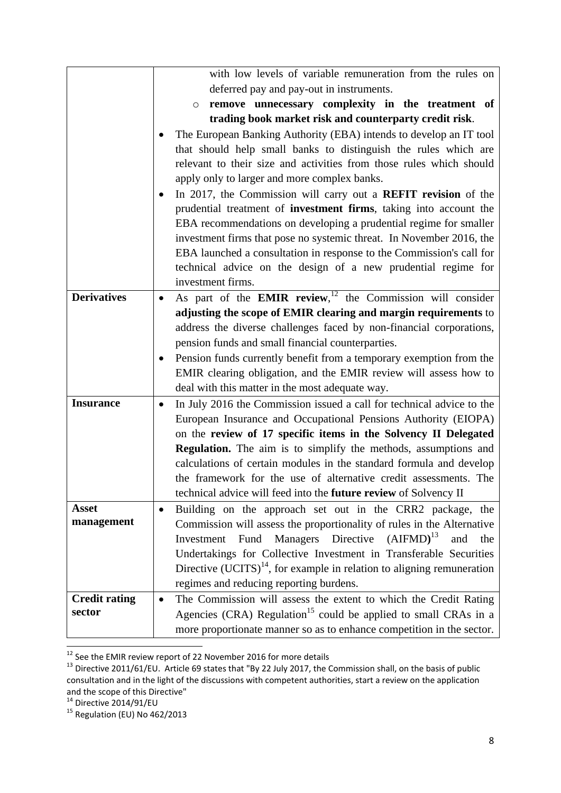|                      | with low levels of variable remuneration from the rules on                    |
|----------------------|-------------------------------------------------------------------------------|
|                      | deferred pay and pay-out in instruments.                                      |
|                      | remove unnecessary complexity in the treatment of<br>O                        |
|                      | trading book market risk and counterparty credit risk.                        |
|                      | The European Banking Authority (EBA) intends to develop an IT tool            |
|                      | that should help small banks to distinguish the rules which are               |
|                      | relevant to their size and activities from those rules which should           |
|                      | apply only to larger and more complex banks.                                  |
|                      | In 2017, the Commission will carry out a REFIT revision of the                |
|                      | prudential treatment of <b>investment firms</b> , taking into account the     |
|                      | EBA recommendations on developing a prudential regime for smaller             |
|                      | investment firms that pose no systemic threat. In November 2016, the          |
|                      | EBA launched a consultation in response to the Commission's call for          |
|                      | technical advice on the design of a new prudential regime for                 |
|                      | investment firms.                                                             |
| <b>Derivatives</b>   | As part of the <b>EMIR</b> review, <sup>12</sup> the Commission will consider |
|                      | adjusting the scope of EMIR clearing and margin requirements to               |
|                      | address the diverse challenges faced by non-financial corporations,           |
|                      | pension funds and small financial counterparties.                             |
|                      | Pension funds currently benefit from a temporary exemption from the           |
|                      | EMIR clearing obligation, and the EMIR review will assess how to              |
|                      | deal with this matter in the most adequate way.                               |
| <b>Insurance</b>     | In July 2016 the Commission issued a call for technical advice to the         |
|                      | European Insurance and Occupational Pensions Authority (EIOPA)                |
|                      | on the review of 17 specific items in the Solvency II Delegated               |
|                      | <b>Regulation.</b> The aim is to simplify the methods, assumptions and        |
|                      | calculations of certain modules in the standard formula and develop           |
|                      | the framework for the use of alternative credit assessments. The              |
|                      | technical advice will feed into the future review of Solvency II              |
| <b>Asset</b>         | Building on the approach set out in the CRR2 package, the<br>$\bullet$        |
| management           | Commission will assess the proportionality of rules in the Alternative        |
|                      | $(AIFMD)^{13}$<br>Managers Directive<br>and<br>Investment<br>Fund<br>the      |
|                      | Undertakings for Collective Investment in Transferable Securities             |
|                      | Directive $(UCITS)^{14}$ , for example in relation to aligning remuneration   |
|                      | regimes and reducing reporting burdens.                                       |
| <b>Credit rating</b> | The Commission will assess the extent to which the Credit Rating              |
| sector               | Agencies (CRA) Regulation <sup>15</sup> could be applied to small CRAs in a   |
|                      | more proportionate manner so as to enhance competition in the sector.         |
|                      |                                                                               |

 $12$  See the EMIR review report of 22 November 2016 for more details

 $^{13}$  Directive 2011/61/EU. Article 69 states that "By 22 July 2017, the Commission shall, on the basis of public consultation and in the light of the discussions with competent authorities, start a review on the application and the scope of this Directive"

 $14$  Directive 2014/91/EU

<sup>&</sup>lt;sup>15</sup> Regulation (EU) No 462/2013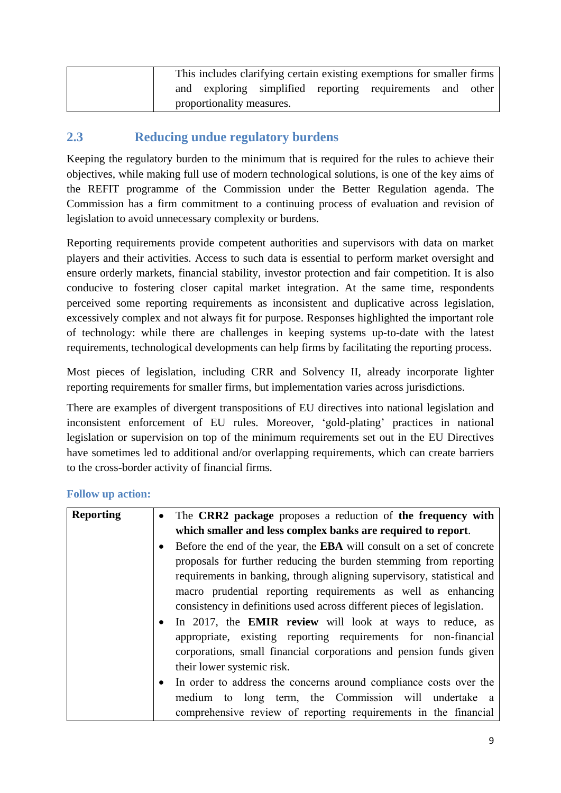|  |                           |  | This includes clarifying certain existing exemptions for smaller firms |       |
|--|---------------------------|--|------------------------------------------------------------------------|-------|
|  |                           |  | and exploring simplified reporting requirements and                    | other |
|  | proportionality measures. |  |                                                                        |       |

# **2.3 Reducing undue regulatory burdens**

Keeping the regulatory burden to the minimum that is required for the rules to achieve their objectives, while making full use of modern technological solutions, is one of the key aims of the REFIT programme of the Commission under the Better Regulation agenda. The Commission has a firm commitment to a continuing process of evaluation and revision of legislation to avoid unnecessary complexity or burdens.

Reporting requirements provide competent authorities and supervisors with data on market players and their activities. Access to such data is essential to perform market oversight and ensure orderly markets, financial stability, investor protection and fair competition. It is also conducive to fostering closer capital market integration. At the same time, respondents perceived some reporting requirements as inconsistent and duplicative across legislation, excessively complex and not always fit for purpose. Responses highlighted the important role of technology: while there are challenges in keeping systems up-to-date with the latest requirements, technological developments can help firms by facilitating the reporting process.

Most pieces of legislation, including CRR and Solvency II, already incorporate lighter reporting requirements for smaller firms, but implementation varies across jurisdictions.

There are examples of divergent transpositions of EU directives into national legislation and inconsistent enforcement of EU rules. Moreover, 'gold-plating' practices in national legislation or supervision on top of the minimum requirements set out in the EU Directives have sometimes led to additional and/or overlapping requirements, which can create barriers to the cross-border activity of financial firms.

### **Follow up action:**

| <b>Reporting</b> | The CRR2 package proposes a reduction of the frequency with<br>$\bullet$                  |
|------------------|-------------------------------------------------------------------------------------------|
|                  | which smaller and less complex banks are required to report.                              |
|                  | Before the end of the year, the <b>EBA</b> will consult on a set of concrete<br>$\bullet$ |
|                  | proposals for further reducing the burden stemming from reporting                         |
|                  | requirements in banking, through aligning supervisory, statistical and                    |
|                  | macro prudential reporting requirements as well as enhancing                              |
|                  | consistency in definitions used across different pieces of legislation.                   |
|                  | In 2017, the <b>EMIR</b> review will look at ways to reduce, as<br>$\bullet$              |
|                  | appropriate, existing reporting requirements for non-financial                            |
|                  | corporations, small financial corporations and pension funds given                        |
|                  | their lower systemic risk.                                                                |
|                  | In order to address the concerns around compliance costs over the<br>$\bullet$            |
|                  | medium to long term, the Commission will undertake a                                      |
|                  | comprehensive review of reporting requirements in the financial                           |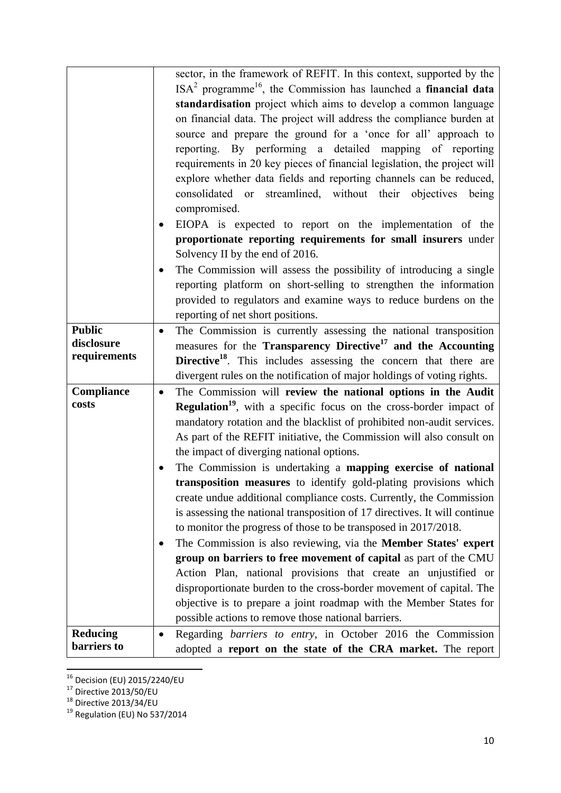|                 | sector, in the framework of REFIT. In this context, supported by the                 |
|-----------------|--------------------------------------------------------------------------------------|
|                 | $ISA2$ programme <sup>16</sup> , the Commission has launched a <b>financial data</b> |
|                 | standardisation project which aims to develop a common language                      |
|                 | on financial data. The project will address the compliance burden at                 |
|                 | source and prepare the ground for a 'once for all' approach to                       |
|                 | reporting. By performing a detailed mapping of reporting                             |
|                 | requirements in 20 key pieces of financial legislation, the project will             |
|                 | explore whether data fields and reporting channels can be reduced,                   |
|                 | consolidated or streamlined, without their objectives being                          |
|                 | compromised.                                                                         |
|                 | EIOPA is expected to report on the implementation of the                             |
|                 | proportionate reporting requirements for small insurers under                        |
|                 | Solvency II by the end of 2016.                                                      |
|                 | The Commission will assess the possibility of introducing a single                   |
|                 | reporting platform on short-selling to strengthen the information                    |
|                 | provided to regulators and examine ways to reduce burdens on the                     |
|                 | reporting of net short positions.                                                    |
| <b>Public</b>   | The Commission is currently assessing the national transposition<br>$\bullet$        |
| disclosure      | measures for the Transparency Directive <sup>17</sup> and the Accounting             |
| requirements    | <b>Directive<sup>18</sup></b> . This includes assessing the concern that there are   |
|                 | divergent rules on the notification of major holdings of voting rights.              |
| Compliance      | The Commission will review the national options in the Audit<br>$\bullet$            |
| costs           | <b>Regulation<sup>19</sup></b> , with a specific focus on the cross-border impact of |
|                 | mandatory rotation and the blacklist of prohibited non-audit services.               |
|                 | As part of the REFIT initiative, the Commission will also consult on                 |
|                 | the impact of diverging national options.                                            |
|                 | The Commission is undertaking a mapping exercise of national                         |
|                 | transposition measures to identify gold-plating provisions which                     |
|                 | create undue additional compliance costs. Currently, the Commission                  |
|                 | is assessing the national transposition of 17 directives. It will continue           |
|                 | to monitor the progress of those to be transposed in 2017/2018.                      |
|                 | The Commission is also reviewing, via the Member States' expert                      |
|                 | group on barriers to free movement of capital as part of the CMU                     |
|                 | Action Plan, national provisions that create an unjustified or                       |
|                 | disproportionate burden to the cross-border movement of capital. The                 |
|                 | objective is to prepare a joint roadmap with the Member States for                   |
|                 | possible actions to remove those national barriers.                                  |
| <b>Reducing</b> | Regarding <i>barriers to entry</i> , in October 2016 the Commission<br>$\bullet$     |
| barriers to     | adopted a report on the state of the CRA market. The report                          |

<sup>1</sup> <sup>16</sup> Decision (EU) 2015/2240/EU

 $17$  Directive 2013/50/EU

 $^{18}$  Directive 2013/34/EU

<sup>&</sup>lt;sup>19</sup> Regulation (EU) No 537/2014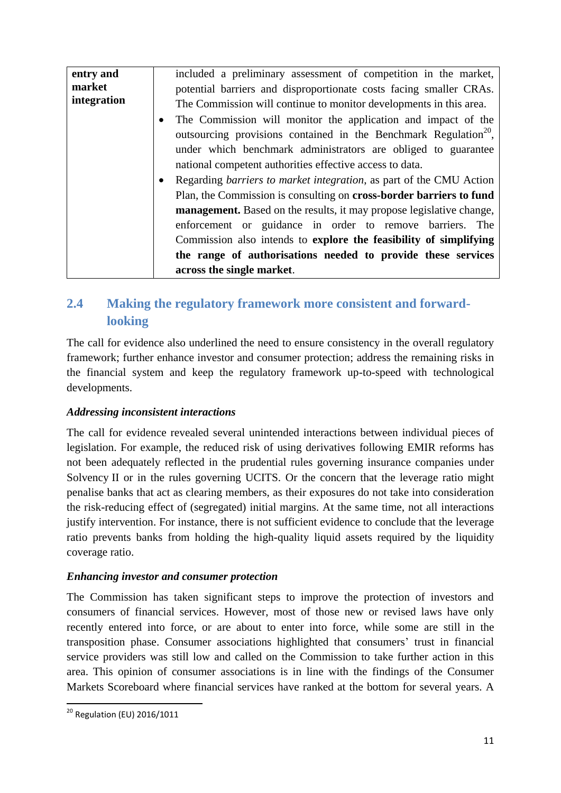| entry and   | included a preliminary assessment of competition in the market,                          |
|-------------|------------------------------------------------------------------------------------------|
| market      | potential barriers and disproportionate costs facing smaller CRAs.                       |
| integration | The Commission will continue to monitor developments in this area.                       |
|             | The Commission will monitor the application and impact of the<br>$\bullet$               |
|             | outsourcing provisions contained in the Benchmark Regulation <sup>20</sup> ,             |
|             | under which benchmark administrators are obliged to guarantee                            |
|             | national competent authorities effective access to data.                                 |
|             | Regarding <i>barriers to market integration</i> , as part of the CMU Action<br>$\bullet$ |
|             | Plan, the Commission is consulting on cross-border barriers to fund                      |
|             | <b>management.</b> Based on the results, it may propose legislative change,              |
|             | enforcement or guidance in order to remove barriers. The                                 |
|             | Commission also intends to explore the feasibility of simplifying                        |
|             | the range of authorisations needed to provide these services                             |
|             | across the single market.                                                                |

# **2.4 Making the regulatory framework more consistent and forwardlooking**

The call for evidence also underlined the need to ensure consistency in the overall regulatory framework; further enhance investor and consumer protection; address the remaining risks in the financial system and keep the regulatory framework up-to-speed with technological developments.

# *Addressing inconsistent interactions*

The call for evidence revealed several unintended interactions between individual pieces of legislation. For example, the reduced risk of using derivatives following EMIR reforms has not been adequately reflected in the prudential rules governing insurance companies under Solvency II or in the rules governing UCITS. Or the concern that the leverage ratio might penalise banks that act as clearing members, as their exposures do not take into consideration the risk-reducing effect of (segregated) initial margins. At the same time, not all interactions justify intervention. For instance, there is not sufficient evidence to conclude that the leverage ratio prevents banks from holding the high-quality liquid assets required by the liquidity coverage ratio.

### *Enhancing investor and consumer protection*

The Commission has taken significant steps to improve the protection of investors and consumers of financial services. However, most of those new or revised laws have only recently entered into force, or are about to enter into force, while some are still in the transposition phase. Consumer associations highlighted that consumers' trust in financial service providers was still low and called on the Commission to take further action in this area. This opinion of consumer associations is in line with the findings of the Consumer Markets Scoreboard where financial services have ranked at the bottom for several years. A

**.** 

<sup>20</sup> Regulation (EU) 2016/1011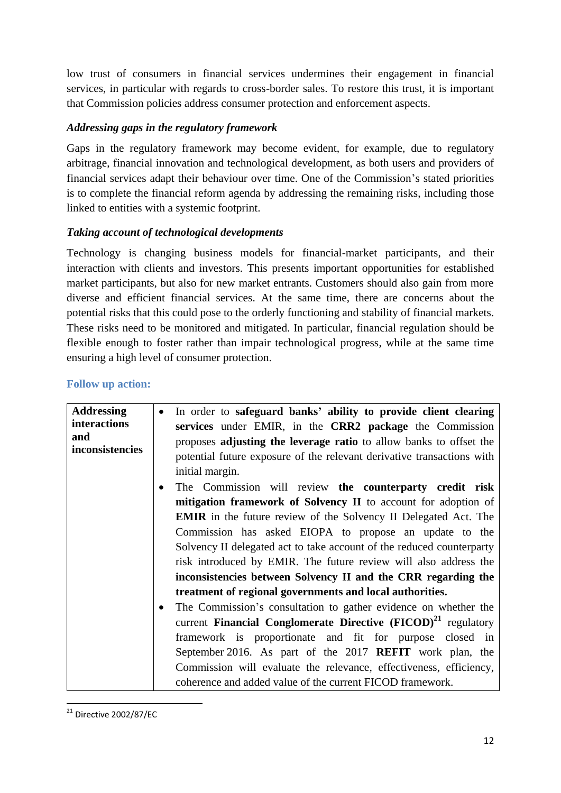low trust of consumers in financial services undermines their engagement in financial services, in particular with regards to cross-border sales. To restore this trust, it is important that Commission policies address consumer protection and enforcement aspects.

## *Addressing gaps in the regulatory framework*

Gaps in the regulatory framework may become evident, for example, due to regulatory arbitrage, financial innovation and technological development, as both users and providers of financial services adapt their behaviour over time. One of the Commission's stated priorities is to complete the financial reform agenda by addressing the remaining risks, including those linked to entities with a systemic footprint.

## *Taking account of technological developments*

Technology is changing business models for financial-market participants, and their interaction with clients and investors. This presents important opportunities for established market participants, but also for new market entrants. Customers should also gain from more diverse and efficient financial services. At the same time, there are concerns about the potential risks that this could pose to the orderly functioning and stability of financial markets. These risks need to be monitored and mitigated. In particular, financial regulation should be flexible enough to foster rather than impair technological progress, while at the same time ensuring a high level of consumer protection.

|  | <b>Follow up action:</b> |
|--|--------------------------|

| <b>Addressing</b><br>interactions<br>and<br>inconsistencies | In order to safeguard banks' ability to provide client clearing<br>$\bullet$<br>services under EMIR, in the CRR2 package the Commission<br>proposes adjusting the leverage ratio to allow banks to offset the<br>potential future exposure of the relevant derivative transactions with<br>initial margin. |
|-------------------------------------------------------------|------------------------------------------------------------------------------------------------------------------------------------------------------------------------------------------------------------------------------------------------------------------------------------------------------------|
|                                                             | The Commission will review the counterparty credit risk                                                                                                                                                                                                                                                    |
|                                                             | mitigation framework of Solvency II to account for adoption of                                                                                                                                                                                                                                             |
|                                                             | <b>EMIR</b> in the future review of the Solvency II Delegated Act. The                                                                                                                                                                                                                                     |
|                                                             | Commission has asked EIOPA to propose an update to the                                                                                                                                                                                                                                                     |
|                                                             | Solvency II delegated act to take account of the reduced counterparty                                                                                                                                                                                                                                      |
|                                                             | risk introduced by EMIR. The future review will also address the                                                                                                                                                                                                                                           |
|                                                             | inconsistencies between Solvency II and the CRR regarding the                                                                                                                                                                                                                                              |
|                                                             | treatment of regional governments and local authorities.                                                                                                                                                                                                                                                   |
|                                                             | The Commission's consultation to gather evidence on whether the<br>٠                                                                                                                                                                                                                                       |
|                                                             | current Financial Conglomerate Directive $(FICOD)^{21}$ regulatory                                                                                                                                                                                                                                         |
|                                                             | framework is proportionate and fit for purpose closed in                                                                                                                                                                                                                                                   |
|                                                             | September 2016. As part of the 2017 <b>REFIT</b> work plan, the                                                                                                                                                                                                                                            |
|                                                             | Commission will evaluate the relevance, effectiveness, efficiency,                                                                                                                                                                                                                                         |
|                                                             | coherence and added value of the current FICOD framework.                                                                                                                                                                                                                                                  |

**<sup>.</sup>**  $21$  Directive 2002/87/EC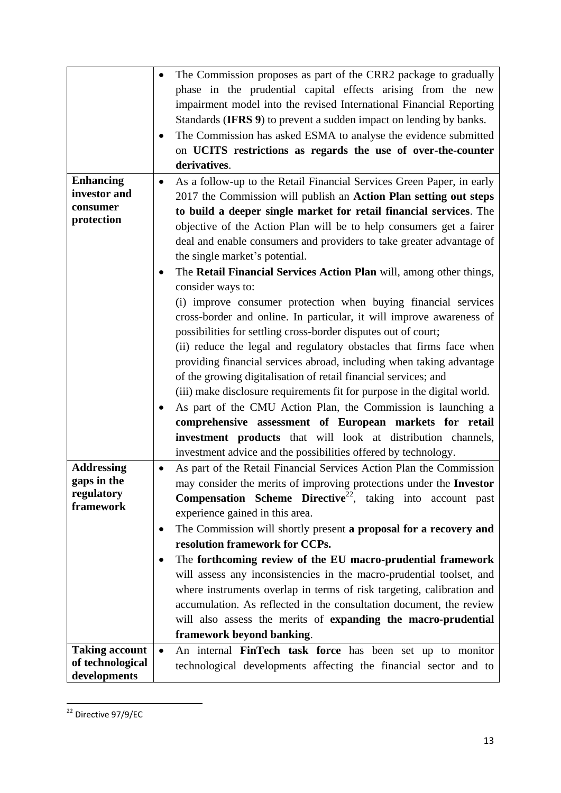|                           | The Commission proposes as part of the CRR2 package to gradually<br>$\bullet$      |
|---------------------------|------------------------------------------------------------------------------------|
|                           | phase in the prudential capital effects arising from the new                       |
|                           | impairment model into the revised International Financial Reporting                |
|                           | Standards (IFRS 9) to prevent a sudden impact on lending by banks.                 |
|                           | The Commission has asked ESMA to analyse the evidence submitted<br>$\bullet$       |
|                           | on UCITS restrictions as regards the use of over-the-counter                       |
|                           | derivatives.                                                                       |
| <b>Enhancing</b>          | As a follow-up to the Retail Financial Services Green Paper, in early<br>$\bullet$ |
| investor and              | 2017 the Commission will publish an Action Plan setting out steps                  |
| consumer                  | to build a deeper single market for retail financial services. The                 |
| protection                | objective of the Action Plan will be to help consumers get a fairer                |
|                           | deal and enable consumers and providers to take greater advantage of               |
|                           | the single market's potential.                                                     |
|                           | The Retail Financial Services Action Plan will, among other things,<br>$\bullet$   |
|                           | consider ways to:                                                                  |
|                           | (i) improve consumer protection when buying financial services                     |
|                           |                                                                                    |
|                           | cross-border and online. In particular, it will improve awareness of               |
|                           | possibilities for settling cross-border disputes out of court;                     |
|                           | (ii) reduce the legal and regulatory obstacles that firms face when                |
|                           | providing financial services abroad, including when taking advantage               |
|                           | of the growing digitalisation of retail financial services; and                    |
|                           | (iii) make disclosure requirements fit for purpose in the digital world.           |
|                           | As part of the CMU Action Plan, the Commission is launching a<br>$\bullet$         |
|                           | comprehensive assessment of European markets for retail                            |
|                           | investment products that will look at distribution channels,                       |
|                           | investment advice and the possibilities offered by technology.                     |
| <b>Addressing</b>         | As part of the Retail Financial Services Action Plan the Commission<br>$\bullet$   |
| gaps in the<br>regulatory | may consider the merits of improving protections under the Investor                |
| framework                 | <b>Compensation Scheme Directive</b> <sup>22</sup> , taking into account past      |
|                           | experience gained in this area.                                                    |
|                           | The Commission will shortly present a proposal for a recovery and                  |
|                           | resolution framework for CCPs.                                                     |
|                           | The forthcoming review of the EU macro-prudential framework<br>$\bullet$           |
|                           | will assess any inconsistencies in the macro-prudential toolset, and               |
|                           | where instruments overlap in terms of risk targeting, calibration and              |
|                           | accumulation. As reflected in the consultation document, the review                |
|                           | will also assess the merits of expanding the macro-prudential                      |
|                           | framework beyond banking.                                                          |
| <b>Taking account</b>     | An internal <b>FinTech task force</b> has been set up to monitor<br>$\bullet$      |
| of technological          | technological developments affecting the financial sector and to                   |
| developments              |                                                                                    |

**<sup>.</sup>** <sup>22</sup> Directive 97/9/EC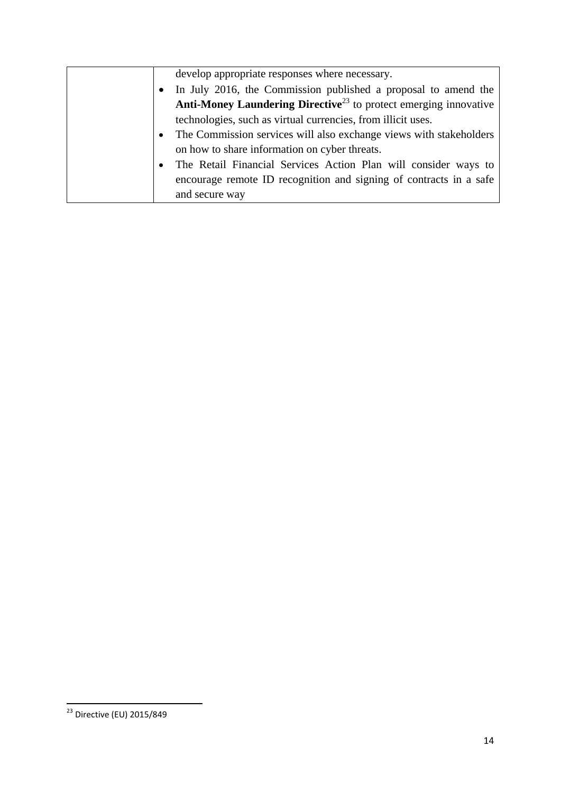| develop appropriate responses where necessary.                               |
|------------------------------------------------------------------------------|
| In July 2016, the Commission published a proposal to amend the               |
| Anti-Money Laundering Directive <sup>23</sup> to protect emerging innovative |
| technologies, such as virtual currencies, from illicit uses.                 |
| The Commission services will also exchange views with stakeholders           |
| on how to share information on cyber threats.                                |
| The Retail Financial Services Action Plan will consider ways to              |
| encourage remote ID recognition and signing of contracts in a safe           |
| and secure way                                                               |

**<sup>.</sup>** <sup>23</sup> Directive (EU) 2015/849